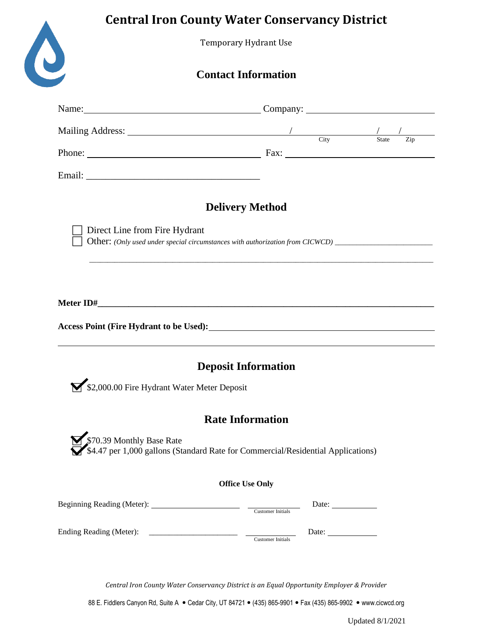## **Central Iron County Water Conservancy District**

Temporary Hydrant Use

## **Contact Information**

| Name: Company: Company:                                                                                                                                                                                                                                                                                           |                                   |  |  |
|-------------------------------------------------------------------------------------------------------------------------------------------------------------------------------------------------------------------------------------------------------------------------------------------------------------------|-----------------------------------|--|--|
|                                                                                                                                                                                                                                                                                                                   |                                   |  |  |
|                                                                                                                                                                                                                                                                                                                   |                                   |  |  |
|                                                                                                                                                                                                                                                                                                                   |                                   |  |  |
| <b>Delivery Method</b><br>Direct Line from Fire Hydrant<br>Other: (Only used under special circumstances with authorization from CICWCD) ______________________                                                                                                                                                   |                                   |  |  |
| ,我们也不能会在这里,我们的人们就会在这里,我们的人们就会在这里,我们的人们就会在这里,我们的人们就会在这里,我们的人们就会在这里,我们的人们就会在这里,我们的<br>Access Point (Fire Hydrant to be Used): 1992. The Contract of the Used of the Used of the Used of the Used of the Used of the Used of the Used of the Used of the Used of the Used of the Used of the Used of the Used of the |                                   |  |  |
| <b>Deposit Information</b>                                                                                                                                                                                                                                                                                        |                                   |  |  |
| \$2,000.00 Fire Hydrant Water Meter Deposit                                                                                                                                                                                                                                                                       |                                   |  |  |
| <b>Rate Information</b><br>\$70.39 Monthly Base Rate<br>\$4.47 per 1,000 gallons (Standard Rate for Commercial/Residential Applications)                                                                                                                                                                          |                                   |  |  |
| <b>Office Use Only</b>                                                                                                                                                                                                                                                                                            |                                   |  |  |
|                                                                                                                                                                                                                                                                                                                   | Date:<br><b>Customer Initials</b> |  |  |
|                                                                                                                                                                                                                                                                                                                   | Customer Initials                 |  |  |

*Central Iron County Water Conservancy District is an Equal Opportunity Employer & Provider*

88 E. Fiddlers Canyon Rd, Suite A · Cedar City, UT 84721 • (435) 865-9901 • Fax (435) 865-9902 • www.cicwcd.org